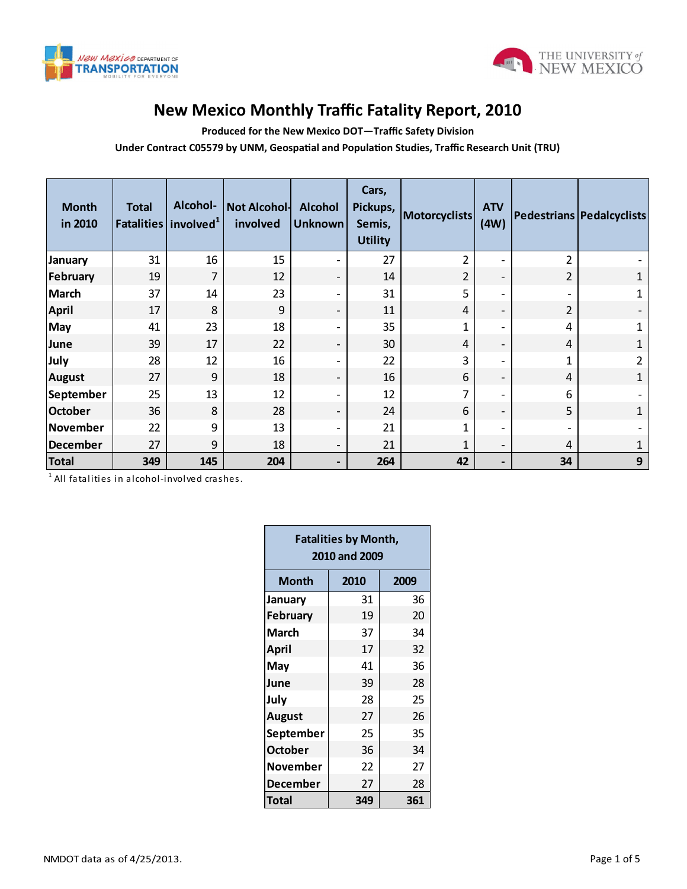



## **New Mexico Monthly Traffic Fatality Report, 2010**

**Produced for the New Mexico DOT—Traffic Safety Division**

**Under Contract C05579 by UNM, Geospatial and Population Studies, Traffic Research Unit (TRU)**

| <b>Month</b><br>in 2010 | <b>Total</b> | Alcohol-<br>Fatalities involved <sup>1</sup> | Not Alcohol-<br>involved | <b>Alcohol</b><br><b>Unknown</b> | Cars,<br>Pickups,<br>Semis,<br><b>Utility</b> | <b>Motorcyclists</b> | <b>ATV</b><br>(4W)       |                | Pedestrians Pedalcyclists |
|-------------------------|--------------|----------------------------------------------|--------------------------|----------------------------------|-----------------------------------------------|----------------------|--------------------------|----------------|---------------------------|
| <b>January</b>          | 31           | 16                                           | 15                       | $\overline{\phantom{a}}$         | 27                                            | 2                    | $\qquad \qquad -$        | $\overline{2}$ |                           |
| February                | 19           | 7                                            | 12                       | $\overline{\phantom{a}}$         | 14                                            | $\overline{2}$       | $\overline{\phantom{a}}$ | 2              | 1                         |
| <b>March</b>            | 37           | 14                                           | 23                       | $\blacksquare$                   | 31                                            | 5                    | $\overline{\phantom{0}}$ |                | 1                         |
| <b>April</b>            | 17           | 8                                            | 9                        | $\overline{\phantom{a}}$         | 11                                            | 4                    | $\overline{\phantom{a}}$ | $\overline{2}$ |                           |
| May                     | 41           | 23                                           | 18                       | $\overline{\phantom{a}}$         | 35                                            | 1                    | $\overline{\phantom{a}}$ | 4              | $\mathbf{1}$              |
| June                    | 39           | 17                                           | 22                       | $\overline{\phantom{a}}$         | 30                                            | 4                    | $\overline{\phantom{a}}$ | 4              | 1                         |
| July                    | 28           | 12                                           | 16                       | $\overline{\phantom{a}}$         | 22                                            | 3                    | $\overline{\phantom{a}}$ | 1              | $\overline{2}$            |
| <b>August</b>           | 27           | 9                                            | 18                       | $\overline{\phantom{a}}$         | 16                                            | 6                    | $\overline{\phantom{a}}$ | 4              | 1                         |
| September               | 25           | 13                                           | 12                       | $\overline{\phantom{a}}$         | 12                                            | 7                    | $\overline{\phantom{a}}$ | 6              |                           |
| <b>October</b>          | 36           | 8                                            | 28                       | $\overline{\phantom{a}}$         | 24                                            | 6                    | $\overline{\phantom{a}}$ | 5              | $\mathbf{1}$              |
| November                | 22           | 9                                            | 13                       | $\overline{\phantom{a}}$         | 21                                            | 1                    | $\overline{\phantom{0}}$ |                |                           |
| December                | 27           | 9                                            | 18                       | $\overline{\phantom{a}}$         | 21                                            | 1                    | $\overline{\phantom{a}}$ | 4              | 1                         |
| <b>Total</b>            | 349          | 145                                          | 204                      | $\overline{\phantom{a}}$         | 264                                           | 42                   | $\overline{\phantom{0}}$ | 34             | 9                         |

 $^{\rm 1}$  All fatalities in alcohol-involved crashes.

| <b>Fatalities by Month,</b><br>2010 and 2009 |              |     |  |  |  |  |  |  |
|----------------------------------------------|--------------|-----|--|--|--|--|--|--|
| Month                                        | 2010<br>2009 |     |  |  |  |  |  |  |
| January                                      | 31           | 36  |  |  |  |  |  |  |
| <b>February</b>                              | 19           | 20  |  |  |  |  |  |  |
| <b>March</b>                                 | 37           | 34  |  |  |  |  |  |  |
| April                                        | 17           | 32  |  |  |  |  |  |  |
| May                                          | 41           | 36  |  |  |  |  |  |  |
| June                                         | 39           | 28  |  |  |  |  |  |  |
| July                                         | 28           | 25  |  |  |  |  |  |  |
| <b>August</b>                                | 27           | 26  |  |  |  |  |  |  |
| September                                    | 25           | 35  |  |  |  |  |  |  |
| <b>October</b>                               | 36           | 34  |  |  |  |  |  |  |
| November                                     | 22           | 27  |  |  |  |  |  |  |
| December                                     | 27           | 28  |  |  |  |  |  |  |
| Total                                        | 349          | 361 |  |  |  |  |  |  |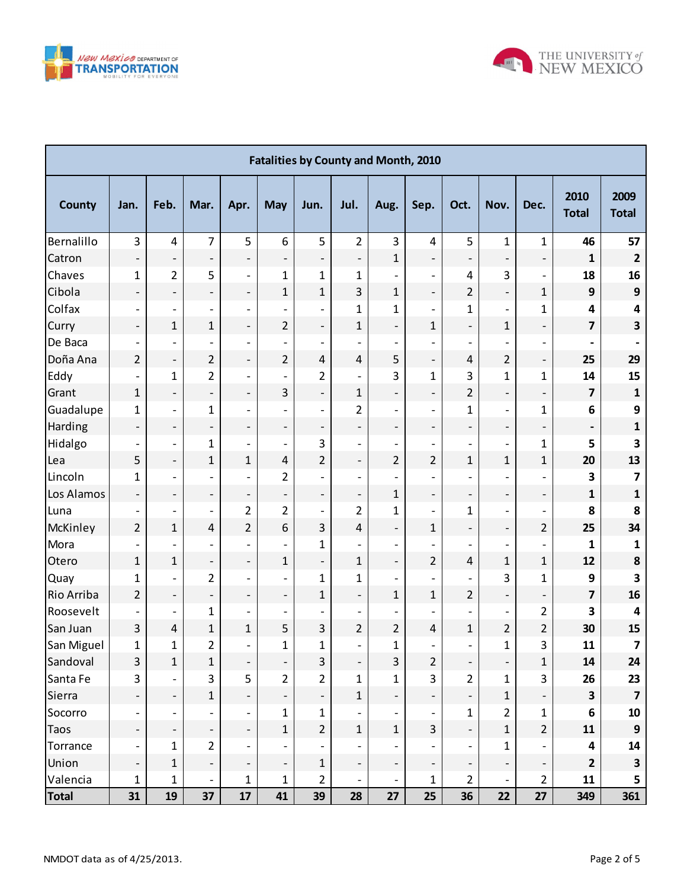



| <b>Fatalities by County and Month, 2010</b> |                              |                              |                          |                          |                          |                              |                          |                          |                              |                          |                          |                          |                         |                         |
|---------------------------------------------|------------------------------|------------------------------|--------------------------|--------------------------|--------------------------|------------------------------|--------------------------|--------------------------|------------------------------|--------------------------|--------------------------|--------------------------|-------------------------|-------------------------|
| <b>County</b>                               | Jan.                         | Feb.                         | Mar.                     | Apr.                     | <b>May</b>               | Jun.                         | Jul.                     | Aug.                     | Sep.                         | Oct.                     | Nov.                     | Dec.                     | 2010<br><b>Total</b>    | 2009<br><b>Total</b>    |
| Bernalillo                                  | 3                            | $\overline{4}$               | $\overline{7}$           | 5                        | 6                        | 5                            | $\overline{2}$           | 3                        | 4                            | 5                        | $\mathbf{1}$             | $\mathbf{1}$             | 46                      | 57                      |
| Catron                                      | $\qquad \qquad -$            | -                            | $\overline{\phantom{a}}$ | $\overline{\phantom{0}}$ | $\overline{a}$           | $\overline{\phantom{0}}$     | $\overline{\phantom{a}}$ | $\mathbf{1}$             | $\overline{\phantom{0}}$     | $\overline{\phantom{a}}$ | $\overline{\phantom{a}}$ | $\qquad \qquad -$        | 1                       | $\overline{2}$          |
| Chaves                                      | $\mathbf 1$                  | $\overline{2}$               | 5                        | $\overline{\phantom{a}}$ | $\mathbf{1}$             | 1                            | $\mathbf{1}$             |                          | $\overline{\phantom{a}}$     | 4                        | 3                        | $\overline{\phantom{a}}$ | 18                      | 16                      |
| Cibola                                      | $\overline{\phantom{a}}$     | $\overline{\phantom{0}}$     | $\overline{\phantom{a}}$ | $\overline{\phantom{0}}$ | $\mathbf{1}$             | $\mathbf 1$                  | 3                        | $\mathbf{1}$             | $\qquad \qquad \blacksquare$ | $\overline{2}$           | $\overline{\phantom{0}}$ | $\mathbf{1}$             | 9                       | $\mathbf{9}$            |
| Colfax                                      | $\overline{\phantom{a}}$     | $\overline{\phantom{0}}$     | $\overline{\phantom{a}}$ | $\overline{\phantom{0}}$ | $\overline{a}$           | $\overline{\phantom{a}}$     | $\mathbf{1}$             | $\mathbf 1$              | $\overline{\phantom{a}}$     | $\mathbf 1$              | $\overline{\phantom{0}}$ | $\mathbf{1}$             | 4                       | 4                       |
| Curry                                       | $\overline{\phantom{a}}$     | $\mathbf{1}$                 | $\mathbf{1}$             | $\overline{\phantom{0}}$ | $\overline{2}$           | ÷                            | $\mathbf{1}$             | $\overline{a}$           | 1                            | $\overline{\phantom{a}}$ | $\mathbf{1}$             | $\overline{\phantom{a}}$ | $\overline{\mathbf{z}}$ | 3                       |
| De Baca                                     | $\qquad \qquad -$            | $\qquad \qquad -$            | $\overline{a}$           | $\overline{\phantom{0}}$ |                          | $\overline{\phantom{a}}$     |                          | $\overline{a}$           | $\overline{a}$               | $\overline{\phantom{a}}$ | $\overline{a}$           | $\overline{\phantom{a}}$ |                         |                         |
| Doña Ana                                    | $\overline{2}$               | $\qquad \qquad -$            | $\overline{2}$           | $\overline{a}$           | $\overline{2}$           | $\sqrt{4}$                   | $\overline{4}$           | 5                        | $\overline{\phantom{a}}$     | 4                        | $\overline{2}$           | $\overline{\phantom{a}}$ | 25                      | 29                      |
| Eddy                                        | $\qquad \qquad -$            | $\mathbf{1}$                 | $\overline{2}$           | $\overline{\phantom{0}}$ | $\overline{a}$           | $\overline{2}$               | $\overline{a}$           | 3                        | 1                            | 3                        | $\mathbf{1}$             | $\mathbf{1}$             | 14                      | 15                      |
| Grant                                       | $\mathbf{1}$                 | $\overline{\phantom{0}}$     | $\overline{\phantom{a}}$ | $\overline{\phantom{0}}$ | 3                        | ÷,                           | $\mathbf{1}$             | $\overline{a}$           | $\overline{\phantom{a}}$     | $\overline{2}$           | $\overline{\phantom{0}}$ | $\overline{\phantom{a}}$ | $\overline{\mathbf{z}}$ | $\mathbf{1}$            |
| Guadalupe                                   | $\mathbf 1$                  | $\overline{\phantom{0}}$     | 1                        | $\overline{a}$           | $\overline{a}$           | $\overline{\phantom{a}}$     | $\overline{2}$           | $\overline{a}$           | $\qquad \qquad -$            | $\mathbf{1}$             | $\overline{\phantom{0}}$ | $\mathbf{1}$             | 6                       | 9                       |
| Harding                                     | $\overline{\phantom{a}}$     | $\overline{\phantom{0}}$     | $\overline{\phantom{m}}$ | $\overline{\phantom{0}}$ | $\overline{\phantom{0}}$ | $\qquad \qquad \blacksquare$ | $\overline{\phantom{0}}$ | $\overline{a}$           | $\qquad \qquad \blacksquare$ | $\overline{\phantom{a}}$ | $\overline{\phantom{0}}$ | $\overline{\phantom{a}}$ |                         | $\mathbf{1}$            |
| Hidalgo                                     | $\overline{\phantom{a}}$     | $\qquad \qquad \blacksquare$ | $\mathbf{1}$             | $\overline{\phantom{0}}$ | $\overline{a}$           | 3                            | $\overline{\phantom{0}}$ | $\overline{a}$           | $\overline{\phantom{a}}$     | $\overline{\phantom{a}}$ | $\overline{\phantom{0}}$ | $\mathbf{1}$             | 5                       | 3                       |
| Lea                                         | 5                            | $\qquad \qquad -$            | $\mathbf{1}$             | $\mathbf{1}$             | 4                        | $\overline{2}$               | $\overline{\phantom{0}}$ | $\overline{2}$           | $\overline{2}$               | $\mathbf{1}$             | $\mathbf{1}$             | $\mathbf{1}$             | 20                      | 13                      |
| Lincoln                                     | 1                            | $\overline{\phantom{0}}$     | $\overline{a}$           | $\overline{\phantom{0}}$ | $\overline{2}$           | $\overline{\phantom{a}}$     | $\overline{\phantom{0}}$ | $\overline{a}$           | $\overline{a}$               | $\overline{\phantom{a}}$ | $\overline{\phantom{0}}$ | $\overline{a}$           | 3                       | 7                       |
| Los Alamos                                  | $\overline{\phantom{a}}$     | $\qquad \qquad -$            | $\overline{\phantom{m}}$ | $\overline{\phantom{a}}$ | $\overline{\phantom{0}}$ | ÷,                           | $\overline{\phantom{0}}$ | $\mathbf{1}$             | $\overline{\phantom{a}}$     | $\qquad \qquad -$        | $\overline{\phantom{0}}$ | $\qquad \qquad -$        | $\mathbf{1}$            | $\mathbf{1}$            |
| Luna                                        | $\qquad \qquad -$            | $\qquad \qquad -$            | $\overline{\phantom{m}}$ | $\overline{2}$           | $\overline{2}$           | $\overline{\phantom{a}}$     | $\overline{2}$           | $\mathbf 1$              | $\overline{\phantom{a}}$     | $\mathbf{1}$             | $\overline{\phantom{0}}$ | $\qquad \qquad -$        | 8                       | 8                       |
| McKinley                                    | $\overline{2}$               | $\mathbf{1}$                 | $\pmb{4}$                | $\overline{2}$           | 6                        | 3                            | 4                        | $\overline{a}$           | $\mathbf{1}$                 | $\overline{\phantom{a}}$ | $\overline{\phantom{0}}$ | $\overline{2}$           | 25                      | 34                      |
| Mora                                        |                              | $\overline{a}$               | $\overline{\phantom{m}}$ | $\overline{\phantom{0}}$ | $\overline{a}$           | $\mathbf{1}$                 |                          | $\overline{a}$           | $\overline{a}$               | $\qquad \qquad -$        | $\overline{\phantom{0}}$ | $\overline{\phantom{0}}$ | 1                       | 1                       |
| Otero                                       | $\mathbf{1}$                 | $\mathbf{1}$                 | $\overline{\phantom{0}}$ | $\overline{\phantom{0}}$ | $\mathbf{1}$             | $\overline{\phantom{a}}$     | $\mathbf{1}$             | $\overline{a}$           | $\overline{2}$               | 4                        | $\mathbf{1}$             | $\mathbf{1}$             | 12                      | 8                       |
| Quay                                        | $\mathbf 1$                  | $\qquad \qquad -$            | 2                        | $\overline{\phantom{0}}$ | $\overline{a}$           | 1                            | $\mathbf 1$              | $\overline{a}$           | $\overline{\phantom{a}}$     | $\overline{\phantom{a}}$ | 3                        | $\mathbf{1}$             | 9                       | 3                       |
| Rio Arriba                                  | $\overline{2}$               | $\overline{\phantom{0}}$     | $\overline{\phantom{a}}$ | $\overline{\phantom{0}}$ | $\overline{\phantom{0}}$ | $\mathbf{1}$                 | $\overline{\phantom{0}}$ | $\mathbf{1}$             | $\mathbf{1}$                 | $\overline{2}$           | $\overline{\phantom{0}}$ | $\overline{\phantom{a}}$ | $\overline{\mathbf{z}}$ | 16                      |
| Roosevelt                                   |                              | $\qquad \qquad -$            | $\mathbf{1}$             | $\overline{\phantom{0}}$ | $\overline{\phantom{0}}$ | $\overline{\phantom{a}}$     | $\overline{\phantom{0}}$ |                          | $\overline{a}$               | $\overline{a}$           | $\overline{\phantom{0}}$ | $\overline{2}$           | 3                       | 4                       |
| San Juan                                    | 3                            | $\overline{\mathcal{L}}$     | $\mathbf{1}$             | $\mathbf{1}$             | 5                        | 3                            | $\overline{2}$           | $\overline{2}$           | $\overline{\mathbf{4}}$      | $\mathbf{1}$             | $\overline{2}$           | $\overline{2}$           | 30                      | 15                      |
| San Miguel                                  | $\mathbf{1}$                 | 1                            | 2                        |                          | 1                        | $\mathbf 1$                  |                          | $\mathbf 1$              | $\overline{a}$               |                          | $\mathbf{1}$             | 3                        | 11                      | 7                       |
| Sandoval                                    | 3                            | $\mathbf 1$                  | $\mathbf{1}$             | $\overline{\phantom{a}}$ | $\overline{\phantom{a}}$ | $\overline{3}$               |                          | $\overline{3}$           | $\overline{2}$               |                          | $\qquad \qquad -$        | $\mathbf 1$              | 14                      | 24                      |
| Santa Fe                                    | 3                            | $\qquad \qquad -$            | 3                        | 5                        | $\overline{2}$           | 2                            | $\mathbf{1}$             | $\mathbf{1}$             | 3                            | $\overline{2}$           | $\mathbf{1}$             | 3                        | 26                      | 23                      |
| Sierra                                      |                              | $\overline{\phantom{0}}$     | $\mathbf{1}$             | $\overline{\phantom{0}}$ |                          | $\overline{\phantom{a}}$     | $\mathbf{1}$             |                          | $\overline{\phantom{a}}$     | $\blacksquare$           | $\mathbf{1}$             |                          | $\overline{\mathbf{3}}$ | $\overline{7}$          |
| Socorro                                     |                              | $\overline{\phantom{a}}$     |                          | $\overline{\phantom{a}}$ | $\mathbf{1}$             | $\mathbf 1$                  |                          |                          | $\overline{\phantom{a}}$     | 1                        | $\overline{2}$           | $\mathbf 1$              | 6                       | 10                      |
| <b>Taos</b>                                 |                              | $\overline{\phantom{0}}$     | $\overline{\phantom{a}}$ | $\overline{\phantom{0}}$ | $\mathbf{1}$             | $\overline{2}$               | $\mathbf{1}$             | $\mathbf 1$              | 3                            | $\blacksquare$           | $\mathbf{1}$             | $\overline{2}$           | ${\bf 11}$              | $\mathbf{9}$            |
| Torrance                                    | $\qquad \qquad \blacksquare$ | $\mathbf{1}$                 | $\overline{2}$           | $\overline{\phantom{a}}$ |                          | $\overline{\phantom{a}}$     |                          |                          | $\overline{\phantom{a}}$     | $\overline{\phantom{a}}$ | $\mathbf{1}$             |                          | 4                       | 14                      |
| Union                                       |                              | $\mathbf{1}$                 | $\overline{\phantom{a}}$ |                          |                          | $\mathbf 1$                  |                          |                          | $\overline{\phantom{a}}$     |                          |                          |                          | $\mathbf{2}$            | $\overline{\mathbf{3}}$ |
| Valencia                                    | 1                            | 1                            | $\overline{\phantom{a}}$ | $\mathbf{1}$             | $\mathbf{1}$             | 2                            | $\overline{\phantom{a}}$ | $\overline{\phantom{a}}$ | 1                            | $\overline{2}$           | $\overline{\phantom{0}}$ | $\overline{2}$           | 11                      | 5                       |
| <b>Total</b>                                | 31                           | 19                           | 37                       | 17                       | 41                       | 39                           | 28                       | 27                       | 25                           | 36                       | 22                       | 27                       | 349                     | 361                     |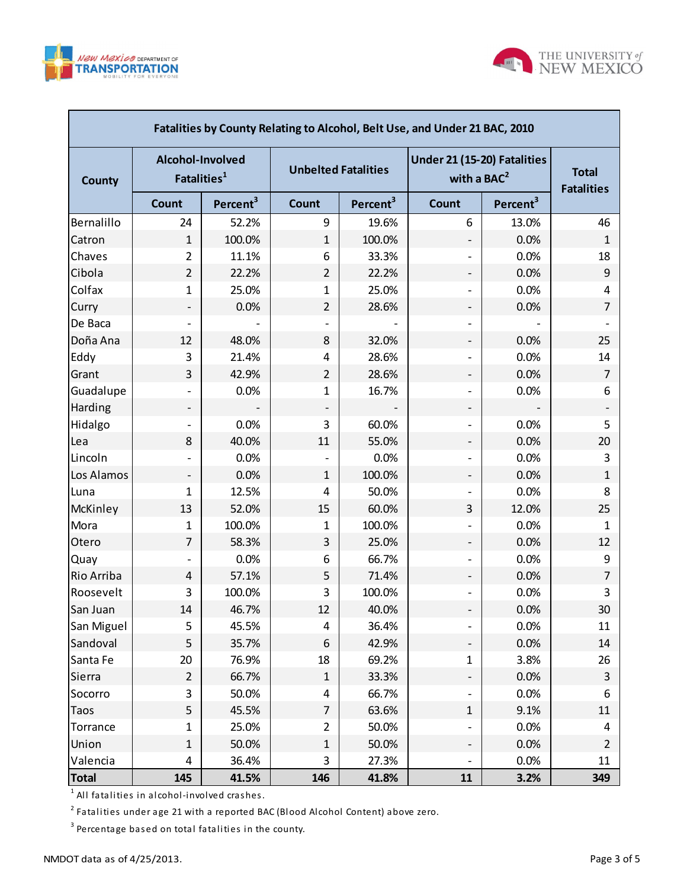



| Fatalities by County Relating to Alcohol, Belt Use, and Under 21 BAC, 2010 |                                             |                      |                            |                      |                                              |                      |                                   |  |  |  |  |
|----------------------------------------------------------------------------|---------------------------------------------|----------------------|----------------------------|----------------------|----------------------------------------------|----------------------|-----------------------------------|--|--|--|--|
| <b>County</b>                                                              | Alcohol-Involved<br>Fatalities <sup>1</sup> |                      | <b>Unbelted Fatalities</b> |                      | Under 21 (15-20) Fatalities<br>with a $BAC2$ |                      | <b>Total</b><br><b>Fatalities</b> |  |  |  |  |
|                                                                            | <b>Count</b>                                | Percent <sup>3</sup> | Count                      | Percent <sup>3</sup> | Count                                        | Percent <sup>3</sup> |                                   |  |  |  |  |
| Bernalillo                                                                 | 24                                          | 52.2%                | 9                          | 19.6%                | 6                                            | 13.0%                | 46                                |  |  |  |  |
| Catron                                                                     | $\mathbf{1}$                                | 100.0%               | $\mathbf{1}$               | 100.0%               |                                              | 0.0%                 | 1                                 |  |  |  |  |
| Chaves                                                                     | $\overline{2}$                              | 11.1%                | 6                          | 33.3%                |                                              | 0.0%                 | 18                                |  |  |  |  |
| Cibola                                                                     | $\overline{2}$                              | 22.2%                | $\overline{2}$             | 22.2%                | -                                            | 0.0%                 | 9                                 |  |  |  |  |
| Colfax                                                                     | $\mathbf{1}$                                | 25.0%                | 1                          | 25.0%                | -                                            | 0.0%                 | 4                                 |  |  |  |  |
| Curry                                                                      |                                             | 0.0%                 | $\overline{2}$             | 28.6%                | -                                            | 0.0%                 | 7                                 |  |  |  |  |
| De Baca                                                                    |                                             |                      |                            |                      |                                              |                      |                                   |  |  |  |  |
| Doña Ana                                                                   | 12                                          | 48.0%                | 8                          | 32.0%                | -                                            | 0.0%                 | 25                                |  |  |  |  |
| Eddy                                                                       | 3                                           | 21.4%                | 4                          | 28.6%                |                                              | 0.0%                 | 14                                |  |  |  |  |
| Grant                                                                      | 3                                           | 42.9%                | $\overline{2}$             | 28.6%                | $\overline{\phantom{a}}$                     | 0.0%                 | 7                                 |  |  |  |  |
| Guadalupe                                                                  |                                             | 0.0%                 | 1                          | 16.7%                |                                              | 0.0%                 | 6                                 |  |  |  |  |
| Harding                                                                    | -                                           |                      |                            |                      | -                                            |                      |                                   |  |  |  |  |
| Hidalgo                                                                    |                                             | 0.0%                 | 3                          | 60.0%                |                                              | 0.0%                 | 5                                 |  |  |  |  |
| Lea                                                                        | 8                                           | 40.0%                | 11                         | 55.0%                | -                                            | 0.0%                 | 20                                |  |  |  |  |
| Lincoln                                                                    |                                             | 0.0%                 |                            | 0.0%                 |                                              | 0.0%                 | 3                                 |  |  |  |  |
| Los Alamos                                                                 | -                                           | 0.0%                 | $\mathbf{1}$               | 100.0%               | $\overline{\phantom{a}}$                     | 0.0%                 | 1                                 |  |  |  |  |
| Luna                                                                       | $\mathbf{1}$                                | 12.5%                | 4                          | 50.0%                |                                              | 0.0%                 | 8                                 |  |  |  |  |
| McKinley                                                                   | 13                                          | 52.0%                | 15                         | 60.0%                | 3                                            | 12.0%                | 25                                |  |  |  |  |
| Mora                                                                       | $\mathbf{1}$                                | 100.0%               | 1                          | 100.0%               |                                              | 0.0%                 | $\mathbf{1}$                      |  |  |  |  |
| Otero                                                                      | $\overline{7}$                              | 58.3%                | 3                          | 25.0%                | $\overline{\phantom{a}}$                     | 0.0%                 | 12                                |  |  |  |  |
| <b>Quay</b>                                                                |                                             | 0.0%                 | 6                          | 66.7%                |                                              | 0.0%                 | 9                                 |  |  |  |  |
| Rio Arriba                                                                 | 4                                           | 57.1%                | 5                          | 71.4%                | $\overline{\phantom{a}}$                     | 0.0%                 | $\overline{7}$                    |  |  |  |  |
| Roosevelt                                                                  | 3                                           | 100.0%               | 3                          | 100.0%               |                                              | 0.0%                 | 3                                 |  |  |  |  |
| San Juan                                                                   | 14                                          | 46.7%                | 12                         | 40.0%                | -                                            | 0.0%                 | 30                                |  |  |  |  |
| San Miguel                                                                 | 5                                           | 45.5%                | 4                          | 36.4%                |                                              | 0.0%                 | 11                                |  |  |  |  |
| Sandoval                                                                   | 5                                           | 35.7%                | 6                          | 42.9%                | -                                            | 0.0%                 | 14                                |  |  |  |  |
| Santa Fe                                                                   | 20                                          | 76.9%                | 18                         | 69.2%                | $\mathbf{1}$                                 | 3.8%                 | 26                                |  |  |  |  |
| Sierra                                                                     | $\overline{2}$                              | 66.7%                | $\mathbf{1}$               | 33.3%                | -                                            | 0.0%                 | 3                                 |  |  |  |  |
| Socorro                                                                    | 3                                           | 50.0%                | 4                          | 66.7%                |                                              | 0.0%                 | 6                                 |  |  |  |  |
| <b>Taos</b>                                                                | 5                                           | 45.5%                | 7                          | 63.6%                | $\mathbf{1}$                                 | 9.1%                 | 11                                |  |  |  |  |
| Torrance                                                                   | $\mathbf{1}$                                | 25.0%                | 2                          | 50.0%                | $\overline{\phantom{0}}$                     | 0.0%                 | 4                                 |  |  |  |  |
| Union                                                                      | $1\,$                                       | 50.0%                | 1                          | 50.0%                | -                                            | 0.0%                 | 2                                 |  |  |  |  |
| Valencia                                                                   | 4                                           | 36.4%                | 3                          | 27.3%                |                                              | 0.0%                 | 11                                |  |  |  |  |
| <b>Total</b>                                                               | 145                                         | 41.5%                | 146                        | 41.8%                | 11                                           | 3.2%                 | 349                               |  |  |  |  |

 $^{\rm 1}$  All fatalities in alcohol-involved crashes.

 $^{\text{2}}$  Fatalities under age 21 with a reported BAC (Blood Alcohol Content) above zero.

 $^3$  Percentage based on total fatalities in the county.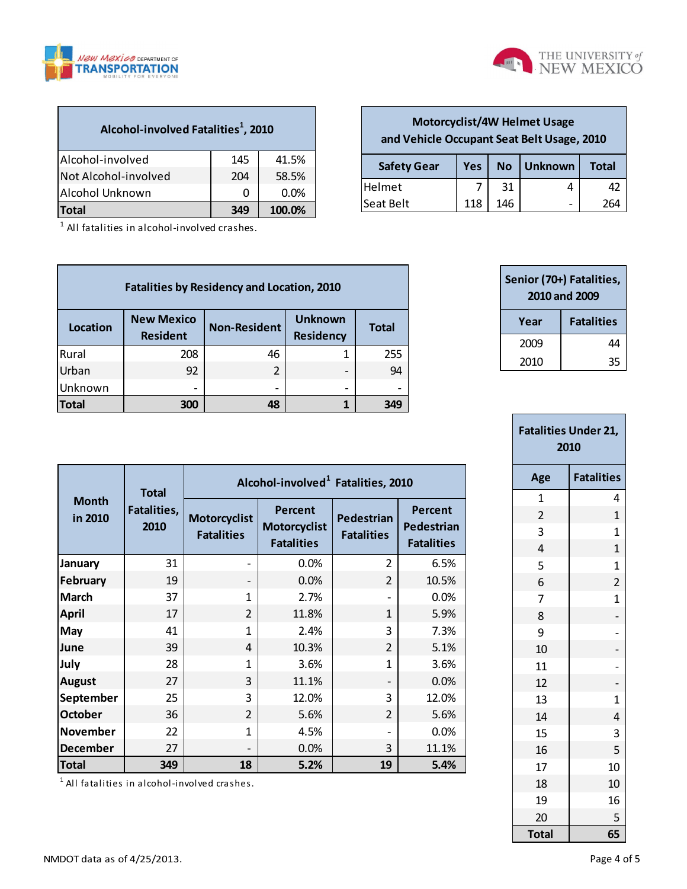



**Safety Gear Yes No Unknown Total** Helmet  $\begin{vmatrix} 7 & 31 & 4 \end{vmatrix}$  42 Seat Belt 118 | 146 | 264

**Motorcyclist/4W Helmet Usage and Vehicle Occupant Seat Belt Usage, 2010**

|  |  | Alcohol-involved Fatalities <sup>1</sup> , 2010 |  |
|--|--|-------------------------------------------------|--|
|  |  |                                                 |  |

| Alcohol-involved     | 145 | 41.5%   |
|----------------------|-----|---------|
| Not Alcohol-involved | 204 | 58.5%   |
| Alcohol Unknown      | 0   | $0.0\%$ |
| <b>Total</b>         | 349 | 100.0%  |

 $^1$  All fatalities in alcohol-involved crashes.

| <b>Fatalities by Residency and Location, 2010</b> |                                      |                     |                                    |              |  |  |  |  |  |  |
|---------------------------------------------------|--------------------------------------|---------------------|------------------------------------|--------------|--|--|--|--|--|--|
| <b>Location</b>                                   | <b>New Mexico</b><br><b>Resident</b> | <b>Non-Resident</b> | <b>Unknown</b><br><b>Residency</b> | <b>Total</b> |  |  |  |  |  |  |
| Rural                                             | 208                                  | 46                  | 1                                  | 255          |  |  |  |  |  |  |
| Urban                                             | 92                                   | 2                   | $\overline{\phantom{0}}$           | 94           |  |  |  |  |  |  |
| Unknown                                           |                                      |                     | $\overline{\phantom{0}}$           | -            |  |  |  |  |  |  |
| Total                                             | 300                                  | 48                  |                                    | 349          |  |  |  |  |  |  |

| Senior (70+) Fatalities,<br>2010 and 2009 |                   |  |  |  |  |  |
|-------------------------------------------|-------------------|--|--|--|--|--|
| Year                                      | <b>Fatalities</b> |  |  |  |  |  |
| 2009                                      | 44                |  |  |  |  |  |
| 2010                                      | 35                |  |  |  |  |  |

| <b>Fatalities Under 21,</b><br>2010 |                   |  |  |  |  |  |  |
|-------------------------------------|-------------------|--|--|--|--|--|--|
| Age                                 | <b>Fatalities</b> |  |  |  |  |  |  |
| 1                                   | 4                 |  |  |  |  |  |  |
| $\overline{\mathbf{c}}$             | $\mathbf{1}$      |  |  |  |  |  |  |
| 3                                   | $\mathbf 1$       |  |  |  |  |  |  |
| 4                                   | $\mathbf 1$       |  |  |  |  |  |  |
| 5                                   | $\overline{1}$    |  |  |  |  |  |  |
| 6                                   | $\overline{2}$    |  |  |  |  |  |  |
| 7                                   | $\mathbf 1$       |  |  |  |  |  |  |
| 8                                   | -                 |  |  |  |  |  |  |
| 9                                   | $\overline{a}$    |  |  |  |  |  |  |
| 10                                  | -                 |  |  |  |  |  |  |
| 11                                  | $\overline{a}$    |  |  |  |  |  |  |
| 12                                  | $\overline{a}$    |  |  |  |  |  |  |
| 13                                  | $\mathbf 1$       |  |  |  |  |  |  |
| 14                                  | 4                 |  |  |  |  |  |  |
| 15                                  | 3                 |  |  |  |  |  |  |
| 16                                  | 5                 |  |  |  |  |  |  |
| 17                                  | 10                |  |  |  |  |  |  |
| 18                                  | 10                |  |  |  |  |  |  |
| 19                                  | 16                |  |  |  |  |  |  |
| 20                                  | 5                 |  |  |  |  |  |  |
| Total                               | 65                |  |  |  |  |  |  |

|                         | <b>Total</b>        | Alcohol-involved <sup>1</sup> Fatalities, 2010 |                                              |                                 |                                            |  |  |  |  |  |
|-------------------------|---------------------|------------------------------------------------|----------------------------------------------|---------------------------------|--------------------------------------------|--|--|--|--|--|
| <b>Month</b><br>in 2010 | Fatalities,<br>2010 | <b>Motorcyclist</b><br><b>Fatalities</b>       | Percent<br>Motorcyclist<br><b>Fatalities</b> | Pedestrian<br><b>Fatalities</b> | Percent<br>Pedestrian<br><b>Fatalities</b> |  |  |  |  |  |
| January                 | 31                  |                                                | 0.0%                                         | $\overline{2}$                  | 6.5%                                       |  |  |  |  |  |
| <b>February</b>         | 19                  |                                                | 0.0%                                         | $\overline{2}$                  | 10.5%                                      |  |  |  |  |  |
| <b>March</b>            | 37                  | 1                                              | 2.7%                                         |                                 | 0.0%                                       |  |  |  |  |  |
| April                   | 17                  | $\overline{2}$                                 | 11.8%                                        | 1                               | 5.9%                                       |  |  |  |  |  |
| May                     | 41                  | 1                                              | 2.4%                                         | 3                               | 7.3%                                       |  |  |  |  |  |
| June                    | 39                  | $\boldsymbol{\Lambda}$                         | 10.3%                                        | $\overline{2}$                  | 5.1%                                       |  |  |  |  |  |
| July                    | 28                  | 1                                              | 3.6%                                         | 1                               | 3.6%                                       |  |  |  |  |  |
| <b>August</b>           | 27                  | 3                                              | 11.1%                                        |                                 | 0.0%                                       |  |  |  |  |  |
| September               | 25                  | 3                                              | 12.0%                                        | 3                               | 12.0%                                      |  |  |  |  |  |
| <b>October</b>          | 36                  | $\overline{2}$                                 | 5.6%                                         | $\overline{2}$                  | 5.6%                                       |  |  |  |  |  |
| <b>November</b>         | 22                  | 1                                              | 4.5%                                         |                                 | 0.0%                                       |  |  |  |  |  |
| <b>December</b>         | 27                  |                                                | 0.0%                                         | 3                               | 11.1%                                      |  |  |  |  |  |
| <b>Total</b>            | 349                 | 18                                             | 5.2%                                         | 19                              | 5.4%                                       |  |  |  |  |  |

<sup>1</sup> All fatalities in alcohol-involved crashes.